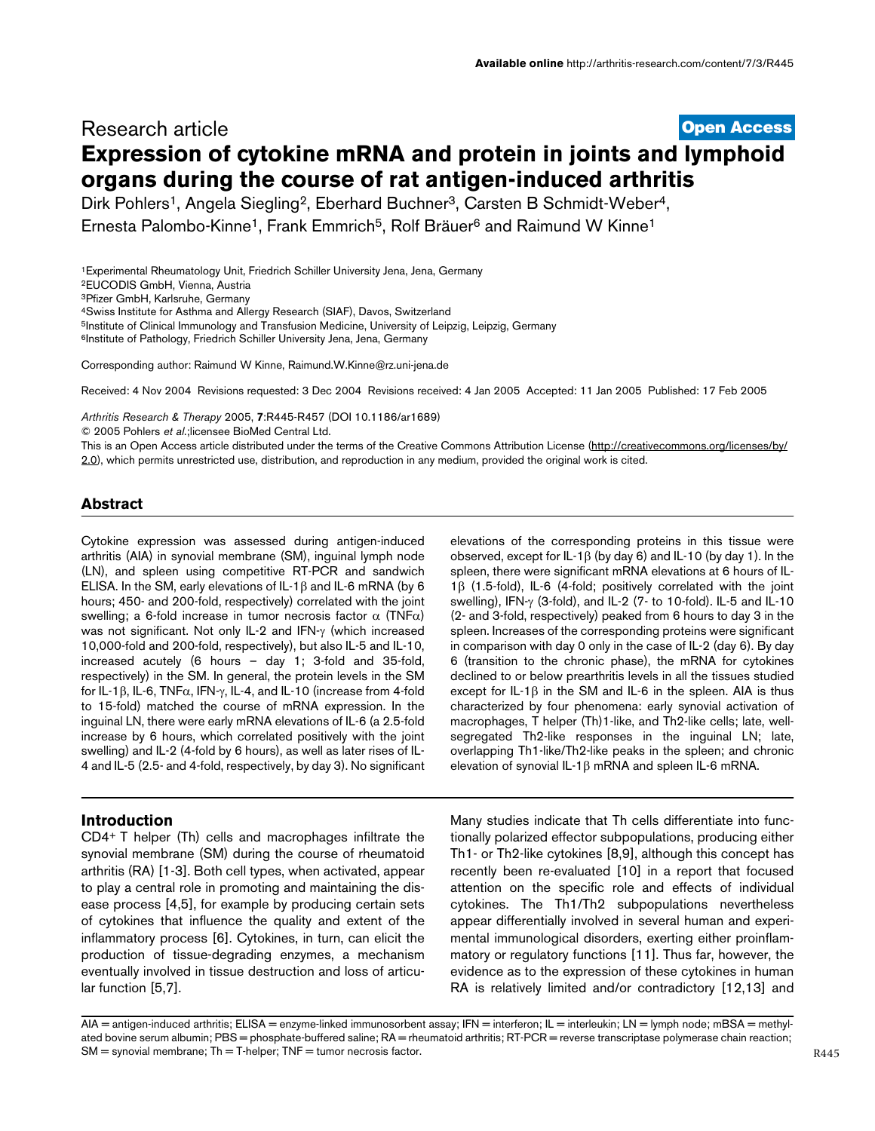# **[Open Access](http://www.biomedcentral.com/info/about/charter/)** Research article **Expression of cytokine mRNA and protein in joints and lymphoid organs during the course of rat antigen-induced arthritis**

Dirk Pohlers<sup>1</sup>, Angela Siegling<sup>2</sup>, Eberhard Buchner<sup>3</sup>, Carsten B Schmidt-Weber<sup>4</sup>,

Ernesta Palombo-Kinne<sup>1</sup>, Frank Emmrich<sup>5</sup>, Rolf Bräuer<sup>6</sup> and Raimund W Kinne<sup>1</sup>

1Experimental Rheumatology Unit, Friedrich Schiller University Jena, Jena, Germany 2EUCODIS GmbH, Vienna, Austria 3Pfizer GmbH, Karlsruhe, Germany 4Swiss Institute for Asthma and Allergy Research (SIAF), Davos, Switzerland 5Institute of Clinical Immunology and Transfusion Medicine, University of Leipzig, Leipzig, Germany <sup>6</sup>Institute of Pathology, Friedrich Schiller University Jena, Jena, Germany

Corresponding author: Raimund W Kinne, Raimund.W.Kinne@rz.uni-jena.de

Received: 4 Nov 2004 Revisions requested: 3 Dec 2004 Revisions received: 4 Jan 2005 Accepted: 11 Jan 2005 Published: 17 Feb 2005

*Arthritis Research & Therapy* 2005, **7**:R445-R457 (DOI 10.1186/ar1689)

© 2005 Pohlers *et al*.;licensee BioMed Central Ltd.

This is an Open Access article distributed under the terms of the Creative Commons Attribution License ([http://creativecommons.org/licenses/by/](http://creativecommons.org/licenses/by/2.0) [2.0\)](http://creativecommons.org/licenses/by/2.0), which permits unrestricted use, distribution, and reproduction in any medium, provided the original work is cited.

### **Abstract**

Cytokine expression was assessed during antigen-induced arthritis (AIA) in synovial membrane (SM), inguinal lymph node (LN), and spleen using competitive RT-PCR and sandwich ELISA. In the SM, early elevations of IL-1β and IL-6 mRNA (by 6 hours; 450- and 200-fold, respectively) correlated with the joint swelling; a 6-fold increase in tumor necrosis factor  $α$  (TNF $α$ ) was not significant. Not only IL-2 and IFN-γ (which increased 10,000-fold and 200-fold, respectively), but also IL-5 and IL-10, increased acutely (6 hours – day 1; 3-fold and 35-fold, respectively) in the SM. In general, the protein levels in the SM for IL-1β, IL-6, TNFα, IFN-γ, IL-4, and IL-10 (increase from 4-fold to 15-fold) matched the course of mRNA expression. In the inguinal LN, there were early mRNA elevations of IL-6 (a 2.5-fold increase by 6 hours, which correlated positively with the joint swelling) and IL-2 (4-fold by 6 hours), as well as later rises of IL-4 and IL-5 (2.5- and 4-fold, respectively, by day 3). No significant

### **Introduction**

CD4+ T helper (Th) cells and macrophages infiltrate the synovial membrane (SM) during the course of rheumatoid arthritis (RA) [1-3]. Both cell types, when activated, appear to play a central role in promoting and maintaining the disease process [4,5], for example by producing certain sets of cytokines that influence the quality and extent of the inflammatory process [6]. Cytokines, in turn, can elicit the production of tissue-degrading enzymes, a mechanism eventually involved in tissue destruction and loss of articular function [5,7].

elevations of the corresponding proteins in this tissue were observed, except for IL-1β (by day 6) and IL-10 (by day 1). In the spleen, there were significant mRNA elevations at 6 hours of IL-1β (1.5-fold), IL-6 (4-fold; positively correlated with the joint swelling), IFN-γ (3-fold), and IL-2 (7- to 10-fold). IL-5 and IL-10 (2- and 3-fold, respectively) peaked from 6 hours to day 3 in the spleen. Increases of the corresponding proteins were significant in comparison with day 0 only in the case of IL-2 (day 6). By day 6 (transition to the chronic phase), the mRNA for cytokines declined to or below prearthritis levels in all the tissues studied except for IL-1 $\beta$  in the SM and IL-6 in the spleen. AIA is thus characterized by four phenomena: early synovial activation of macrophages, T helper (Th)1-like, and Th2-like cells; late, wellsegregated Th2-like responses in the inguinal LN; late, overlapping Th1-like/Th2-like peaks in the spleen; and chronic elevation of synovial IL-1β mRNA and spleen IL-6 mRNA.

Many studies indicate that Th cells differentiate into functionally polarized effector subpopulations, producing either Th1- or Th2-like cytokines [8,9], although this concept has recently been re-evaluated [10] in a report that focused attention on the specific role and effects of individual cytokines. The Th1/Th2 subpopulations nevertheless appear differentially involved in several human and experimental immunological disorders, exerting either proinflammatory or regulatory functions [11]. Thus far, however, the evidence as to the expression of these cytokines in human RA is relatively limited and/or contradictory [12,13] and

AIA = antigen-induced arthritis; ELISA = enzyme-linked immunosorbent assay; IFN = interferon; IL = interleukin; LN = lymph node; mBSA = methylated bovine serum albumin; PBS = phosphate-buffered saline; RA = rheumatoid arthritis; RT-PCR = reverse transcriptase polymerase chain reaction;  $SM =$  synovial membrane;  $Th = T$ -helper;  $TNF =$  tumor necrosis factor.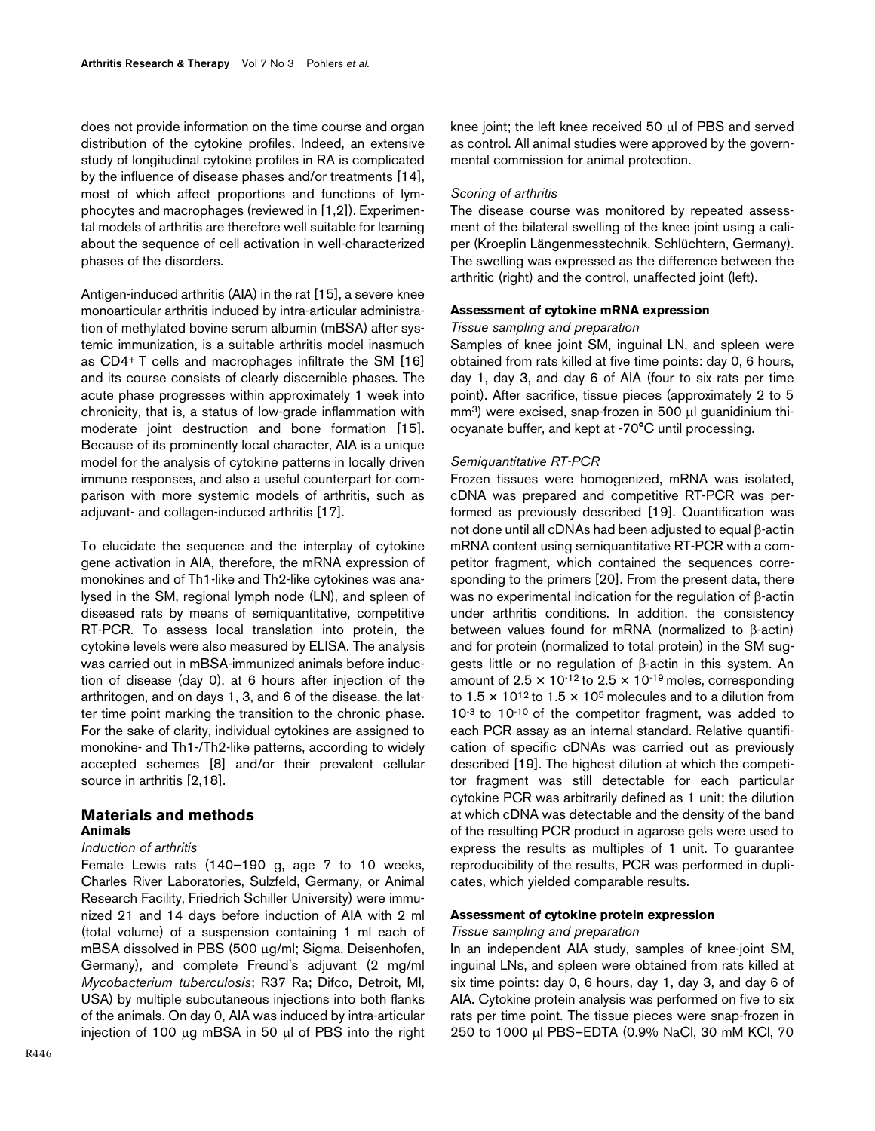does not provide information on the time course and organ distribution of the cytokine profiles. Indeed, an extensive study of longitudinal cytokine profiles in RA is complicated by the influence of disease phases and/or treatments [14], most of which affect proportions and functions of lymphocytes and macrophages (reviewed in [1,2]). Experimental models of arthritis are therefore well suitable for learning about the sequence of cell activation in well-characterized phases of the disorders.

Antigen-induced arthritis (AIA) in the rat [15], a severe knee monoarticular arthritis induced by intra-articular administration of methylated bovine serum albumin (mBSA) after systemic immunization, is a suitable arthritis model inasmuch as CD4+ T cells and macrophages infiltrate the SM [16] and its course consists of clearly discernible phases. The acute phase progresses within approximately 1 week into chronicity, that is, a status of low-grade inflammation with moderate joint destruction and bone formation [15]. Because of its prominently local character, AIA is a unique model for the analysis of cytokine patterns in locally driven immune responses, and also a useful counterpart for comparison with more systemic models of arthritis, such as adjuvant- and collagen-induced arthritis [17].

To elucidate the sequence and the interplay of cytokine gene activation in AIA, therefore, the mRNA expression of monokines and of Th1-like and Th2-like cytokines was analysed in the SM, regional lymph node (LN), and spleen of diseased rats by means of semiquantitative, competitive RT-PCR. To assess local translation into protein, the cytokine levels were also measured by ELISA. The analysis was carried out in mBSA-immunized animals before induction of disease (day 0), at 6 hours after injection of the arthritogen, and on days 1, 3, and 6 of the disease, the latter time point marking the transition to the chronic phase. For the sake of clarity, individual cytokines are assigned to monokine- and Th1-/Th2-like patterns, according to widely accepted schemes [8] and/or their prevalent cellular source in arthritis [2,18].

### **Materials and methods Animals**

#### *Induction of arthritis*

Female Lewis rats (140–190 g, age 7 to 10 weeks, Charles River Laboratories, Sulzfeld, Germany, or Animal Research Facility, Friedrich Schiller University) were immunized 21 and 14 days before induction of AIA with 2 ml (total volume) of a suspension containing 1 ml each of mBSA dissolved in PBS (500 µg/ml; Sigma, Deisenhofen, Germany), and complete Freund's adjuvant (2 mg/ml *Mycobacterium tuberculosis*; R37 Ra; Difco, Detroit, MI, USA) by multiple subcutaneous injections into both flanks of the animals. On day 0, AIA was induced by intra-articular injection of 100 µg mBSA in 50 µl of PBS into the right

R446

knee joint; the left knee received 50 µl of PBS and served as control. All animal studies were approved by the governmental commission for animal protection.

#### *Scoring of arthritis*

The disease course was monitored by repeated assessment of the bilateral swelling of the knee joint using a caliper (Kroeplin Längenmesstechnik, Schlüchtern, Germany). The swelling was expressed as the difference between the arthritic (right) and the control, unaffected joint (left).

### **Assessment of cytokine mRNA expression**

### *Tissue sampling and preparation*

Samples of knee joint SM, inguinal LN, and spleen were obtained from rats killed at five time points: day 0, 6 hours, day 1, day 3, and day 6 of AIA (four to six rats per time point). After sacrifice, tissue pieces (approximately 2 to 5 mm<sup>3</sup>) were excised, snap-frozen in 500 µl guanidinium thiocyanate buffer, and kept at -70°C until processing.

#### *Semiquantitative RT-PCR*

Frozen tissues were homogenized, mRNA was isolated, cDNA was prepared and competitive RT-PCR was performed as previously described [19]. Quantification was not done until all cDNAs had been adjusted to equal β-actin mRNA content using semiquantitative RT-PCR with a competitor fragment, which contained the sequences corresponding to the primers [20]. From the present data, there was no experimental indication for the regulation of β-actin under arthritis conditions. In addition, the consistency between values found for mRNA (normalized to β-actin) and for protein (normalized to total protein) in the SM suggests little or no regulation of β-actin in this system. An amount of  $2.5 \times 10^{-12}$  to  $2.5 \times 10^{-19}$  moles, corresponding to  $1.5 \times 10^{12}$  to  $1.5 \times 10^5$  molecules and to a dilution from  $10^{-3}$  to  $10^{-10}$  of the competitor fragment, was added to each PCR assay as an internal standard. Relative quantification of specific cDNAs was carried out as previously described [19]. The highest dilution at which the competitor fragment was still detectable for each particular cytokine PCR was arbitrarily defined as 1 unit; the dilution at which cDNA was detectable and the density of the band of the resulting PCR product in agarose gels were used to express the results as multiples of 1 unit. To guarantee reproducibility of the results, PCR was performed in duplicates, which yielded comparable results.

#### **Assessment of cytokine protein expression**

#### *Tissue sampling and preparation*

In an independent AIA study, samples of knee-joint SM, inguinal LNs, and spleen were obtained from rats killed at six time points: day 0, 6 hours, day 1, day 3, and day 6 of AIA. Cytokine protein analysis was performed on five to six rats per time point. The tissue pieces were snap-frozen in 250 to 1000 µl PBS–EDTA (0.9% NaCl, 30 mM KCl, 70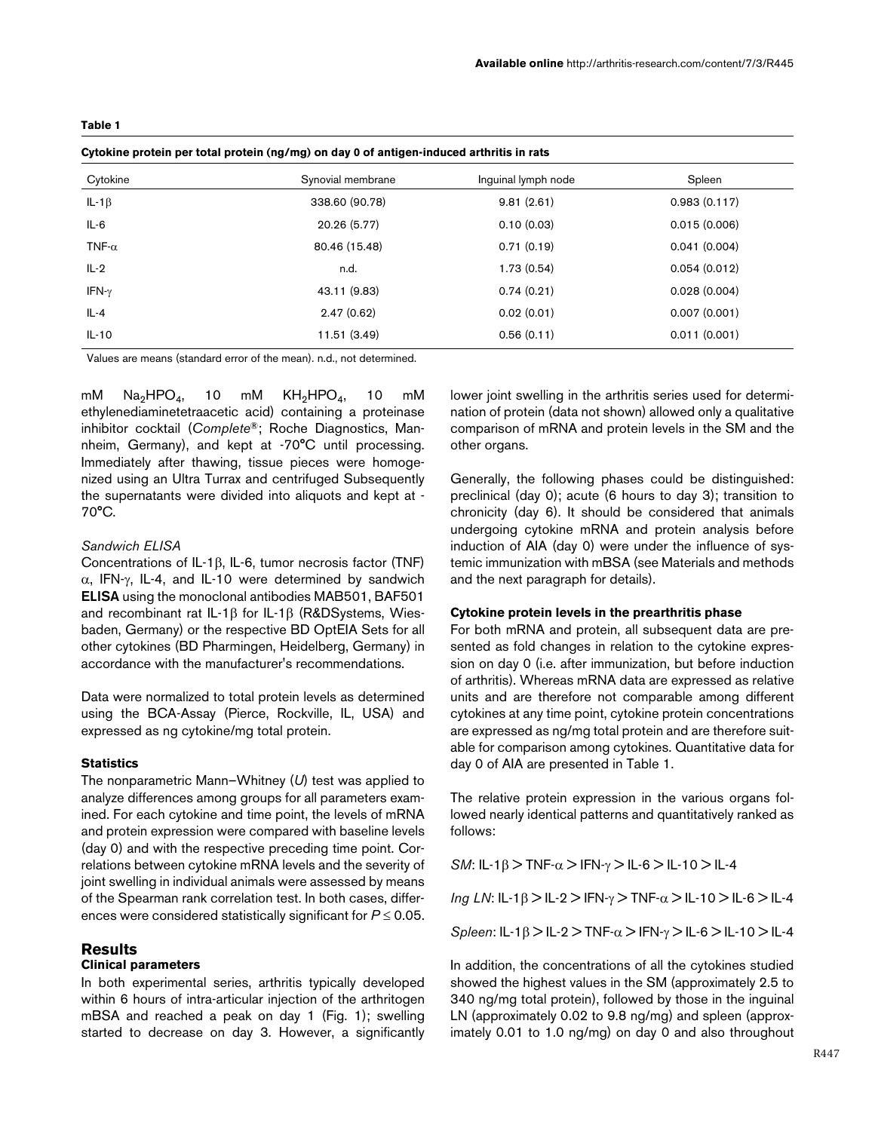#### <span id="page-2-0"></span>**Table 1**

#### **Cytokine protein per total protein (ng/mg) on day 0 of antigen-induced arthritis in rats**

| wytotano protom por total protom (ng/mg/ on auj v or antigon maaooa artimto in rato |                   |                     |              |  |  |
|-------------------------------------------------------------------------------------|-------------------|---------------------|--------------|--|--|
| Cytokine                                                                            | Synovial membrane | Inguinal lymph node | Spleen       |  |  |
| IL-1 $\beta$                                                                        | 338.60 (90.78)    | 9.81(2.61)          | 0.983(0.117) |  |  |
| IL-6                                                                                | 20.26 (5.77)      | 0.10(0.03)          | 0.015(0.006) |  |  |
| TNF- $\alpha$                                                                       | 80.46 (15.48)     | 0.71(0.19)          | 0.041(0.004) |  |  |
| $IL-2$                                                                              | n.d.              | 1.73(0.54)          | 0.054(0.012) |  |  |
| IFN- $\gamma$                                                                       | 43.11 (9.83)      | 0.74(0.21)          | 0.028(0.004) |  |  |
| $IL-4$                                                                              | 2.47(0.62)        | 0.02(0.01)          | 0.007(0.001) |  |  |
| $IL-10$                                                                             | 11.51 (3.49)      | 0.56(0.11)          | 0.011(0.001) |  |  |

Values are means (standard error of the mean). n.d., not determined.

mM  $Na<sub>2</sub>HPO<sub>4</sub>$ , 10 mM  $KH<sub>2</sub>HPO<sub>4</sub>$ , 10 mM ethylenediaminetetraacetic acid) containing a proteinase inhibitor cocktail (*Complete*®; Roche Diagnostics, Mannheim, Germany), and kept at -70°C until processing. Immediately after thawing, tissue pieces were homogenized using an Ultra Turrax and centrifuged Subsequently the supernatants were divided into aliquots and kept at - 70°C.

#### *Sandwich ELISA*

Concentrations of IL-1β, IL-6, tumor necrosis factor (TNF) α, IFN-γ, IL-4, and IL-10 were determined by sandwich **ELISA** using the monoclonal antibodies MAB501, BAF501 and recombinant rat IL-1β for IL-1β (R&DSystems, Wiesbaden, Germany) or the respective BD OptEIA Sets for all other cytokines (BD Pharmingen, Heidelberg, Germany) in accordance with the manufacturer's recommendations.

Data were normalized to total protein levels as determined using the BCA-Assay (Pierce, Rockville, IL, USA) and expressed as ng cytokine/mg total protein.

### **Statistics**

The nonparametric Mann–Whitney (*U*) test was applied to analyze differences among groups for all parameters examined. For each cytokine and time point, the levels of mRNA and protein expression were compared with baseline levels (day 0) and with the respective preceding time point. Correlations between cytokine mRNA levels and the severity of joint swelling in individual animals were assessed by means of the Spearman rank correlation test. In both cases, differences were considered statistically significant for *P* ≤ 0.05.

# **Results**

# **Clinical parameters**

In both experimental series, arthritis typically developed within 6 hours of intra-articular injection of the arthritogen mBSA and reached a peak on day 1 (Fig. 1); swelling started to decrease on day 3. However, a significantly

lower joint swelling in the arthritis series used for determination of protein (data not shown) allowed only a qualitative comparison of mRNA and protein levels in the SM and the other organs.

Generally, the following phases could be distinguished: preclinical (day 0); acute (6 hours to day 3); transition to chronicity (day 6). It should be considered that animals undergoing cytokine mRNA and protein analysis before induction of AIA (day 0) were under the influence of systemic immunization with mBSA (see Materials and methods and the next paragraph for details).

#### **Cytokine protein levels in the prearthritis phase**

For both mRNA and protein, all subsequent data are presented as fold changes in relation to the cytokine expression on day 0 (i.e. after immunization, but before induction of arthritis). Whereas mRNA data are expressed as relative units and are therefore not comparable among different cytokines at any time point, cytokine protein concentrations are expressed as ng/mg total protein and are therefore suitable for comparison among cytokines. Quantitative data for day 0 of AIA are presented in Table [1.](#page-2-0)

The relative protein expression in the various organs followed nearly identical patterns and quantitatively ranked as follows:

*SM*: IL-1 $\beta$  > TNF- $\alpha$  > IFN- $\gamma$  > IL-6 > IL-10 > IL-4

*Ing LN*: IL-1β > IL-2 > IFN-γ > TNF-α > IL-10 > IL-6 > IL-4

*Spleen*: IL-1β > IL-2 > TNF-α > IFN-γ > IL-6 > IL-10 > IL-4

In addition, the concentrations of all the cytokines studied showed the highest values in the SM (approximately 2.5 to 340 ng/mg total protein), followed by those in the inguinal LN (approximately 0.02 to 9.8 ng/mg) and spleen (approximately 0.01 to 1.0 ng/mg) on day 0 and also throughout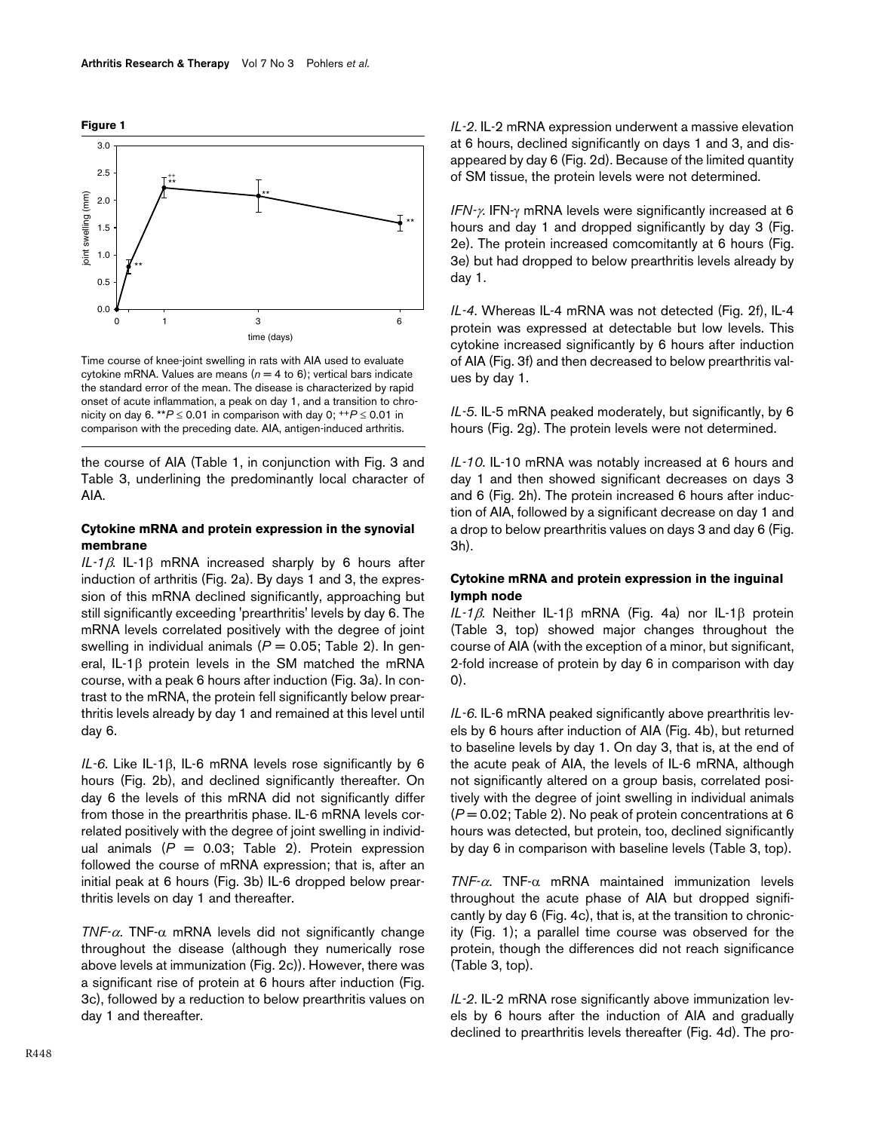

Time course of knee-joint swelling in rats with AIA used to evaluate cytokine mRNA. Values are means  $(n = 4 \text{ to } 6)$ ; vertical bars indicate the standard error of the mean. The disease is characterized by rapid onset of acute inflammation, a peak on day 1, and a transition to chronicity on day 6. \*\* $P \le 0.01$  in comparison with day 0;  $+P \le 0.01$  in comparison with the preceding date. AIA, antigen-induced arthritis.

the course of AIA (Table [1,](#page-2-0) in conjunction with Fig. 3 and Table [3](#page-7-0), underlining the predominantly local character of AIA.

### **Cytokine mRNA and protein expression in the synovial membrane**

*IL-1*β. IL-1β mRNA increased sharply by 6 hours after induction of arthritis (Fig. 2a). By days 1 and 3, the expression of this mRNA declined significantly, approaching but still significantly exceeding 'prearthritis' levels by day 6. The mRNA levels correlated positively with the degree of joint swelling in individual animals ( $P = 0.05$ ; Table [2\)](#page-5-0). In general, IL-1β protein levels in the SM matched the mRNA course, with a peak 6 hours after induction (Fig. 3a). In contrast to the mRNA, the protein fell significantly below prearthritis levels already by day 1 and remained at this level until day 6.

*IL-6*. Like IL-1β, IL-6 mRNA levels rose significantly by 6 hours (Fig. 2b), and declined significantly thereafter. On day 6 the levels of this mRNA did not significantly differ from those in the prearthritis phase. IL-6 mRNA levels correlated positively with the degree of joint swelling in individual animals  $(P = 0.03;$  Table [2](#page-5-0)). Protein expression followed the course of mRNA expression; that is, after an initial peak at 6 hours (Fig. 3b) IL-6 dropped below prearthritis levels on day 1 and thereafter.

*TNF-*α. TNF-α mRNA levels did not significantly change throughout the disease (although they numerically rose above levels at immunization (Fig. 2c)). However, there was a significant rise of protein at 6 hours after induction (Fig. 3c), followed by a reduction to below prearthritis values on day 1 and thereafter.

*IL-2*. IL-2 mRNA expression underwent a massive elevation at 6 hours, declined significantly on days 1 and 3, and disappeared by day 6 (Fig. 2d). Because of the limited quantity of SM tissue, the protein levels were not determined.

*IFN-*γ. IFN-γ mRNA levels were significantly increased at 6 hours and day 1 and dropped significantly by day 3 (Fig. 2e). The protein increased comcomitantly at 6 hours (Fig. 3e) but had dropped to below prearthritis levels already by day 1.

*IL-4*. Whereas IL-4 mRNA was not detected (Fig. 2f), IL-4 protein was expressed at detectable but low levels. This cytokine increased significantly by 6 hours after induction of AIA (Fig. 3f) and then decreased to below prearthritis values by day 1.

*IL-5*. IL-5 mRNA peaked moderately, but significantly, by 6 hours (Fig. 2g). The protein levels were not determined.

*IL-10*. IL-10 mRNA was notably increased at 6 hours and day 1 and then showed significant decreases on days 3 and 6 (Fig. 2h). The protein increased 6 hours after induction of AIA, followed by a significant decrease on day 1 and a drop to below prearthritis values on days 3 and day 6 (Fig. 3h).

### **Cytokine mRNA and protein expression in the inguinal lymph node**

*IL-1*β. Neither IL-1β mRNA (Fig. [4](#page-8-0)a) nor IL-1β protein (Table [3,](#page-7-0) top) showed major changes throughout the course of AIA (with the exception of a minor, but significant, 2-fold increase of protein by day 6 in comparison with day 0).

*IL-6*. IL-6 mRNA peaked significantly above prearthritis levels by 6 hours after induction of AIA (Fig. [4b](#page-8-0)), but returned to baseline levels by day 1. On day 3, that is, at the end of the acute peak of AIA, the levels of IL-6 mRNA, although not significantly altered on a group basis, correlated positively with the degree of joint swelling in individual animals  $(P = 0.02$ ; Table [2\)](#page-5-0). No peak of protein concentrations at 6 hours was detected, but protein, too, declined significantly by day 6 in comparison with baseline levels (Table [3](#page-7-0), top).

*TNF-*α. TNF-α mRNA maintained immunization levels throughout the acute phase of AIA but dropped significantly by day 6 (Fig. [4c](#page-8-0)), that is, at the transition to chronicity (Fig. 1); a parallel time course was observed for the protein, though the differences did not reach significance (Table [3](#page-7-0), top).

*IL-2*. IL-2 mRNA rose significantly above immunization levels by 6 hours after the induction of AIA and gradually declined to prearthritis levels thereafter (Fig. [4d](#page-8-0)). The pro-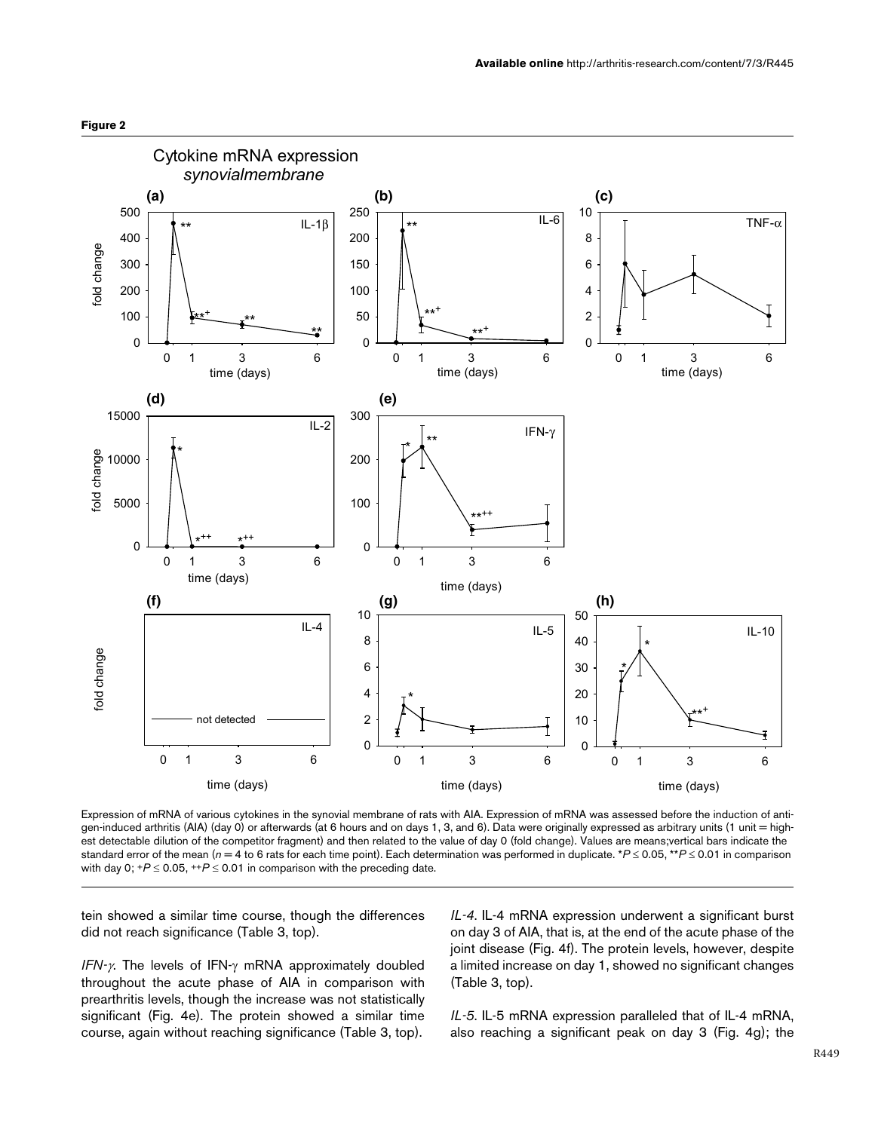



Expression of mRNA of various cytokines in the synovial membrane of rats with AIA. Expression of mRNA was assessed before the induction of antigen-induced arthritis (AIA) (day 0) or afterwards (at 6 hours and on days 1, 3, and 6). Data were originally expressed as arbitrary units (1 unit = highest detectable dilution of the competitor fragment) and then related to the value of day 0 (fold change). Values are means;vertical bars indicate the standard error of the mean (*n* = 4 to 6 rats for each time point). Each determination was performed in duplicate. \**P* ≤ 0.05, \*\**P* ≤ 0.01 in comparison with day 0;  $+P \le 0.05$ ,  $+P \le 0.01$  in comparison with the preceding date.

tein showed a similar time course, though the differences did not reach significance (Table [3,](#page-7-0) top).

*IFN-*γ. The levels of IFN-γ mRNA approximately doubled throughout the acute phase of AIA in comparison with prearthritis levels, though the increase was not statistically significant (Fig. [4](#page-8-0)e). The protein showed a similar time course, again without reaching significance (Table [3,](#page-7-0) top).

*IL-4*. IL-4 mRNA expression underwent a significant burst on day 3 of AIA, that is, at the end of the acute phase of the joint disease (Fig. [4](#page-8-0)f). The protein levels, however, despite a limited increase on day 1, showed no significant changes (Table [3](#page-7-0), top).

*IL-5*. IL-5 mRNA expression paralleled that of IL-4 mRNA, also reaching a significant peak on day 3 (Fig. [4](#page-8-0)g); the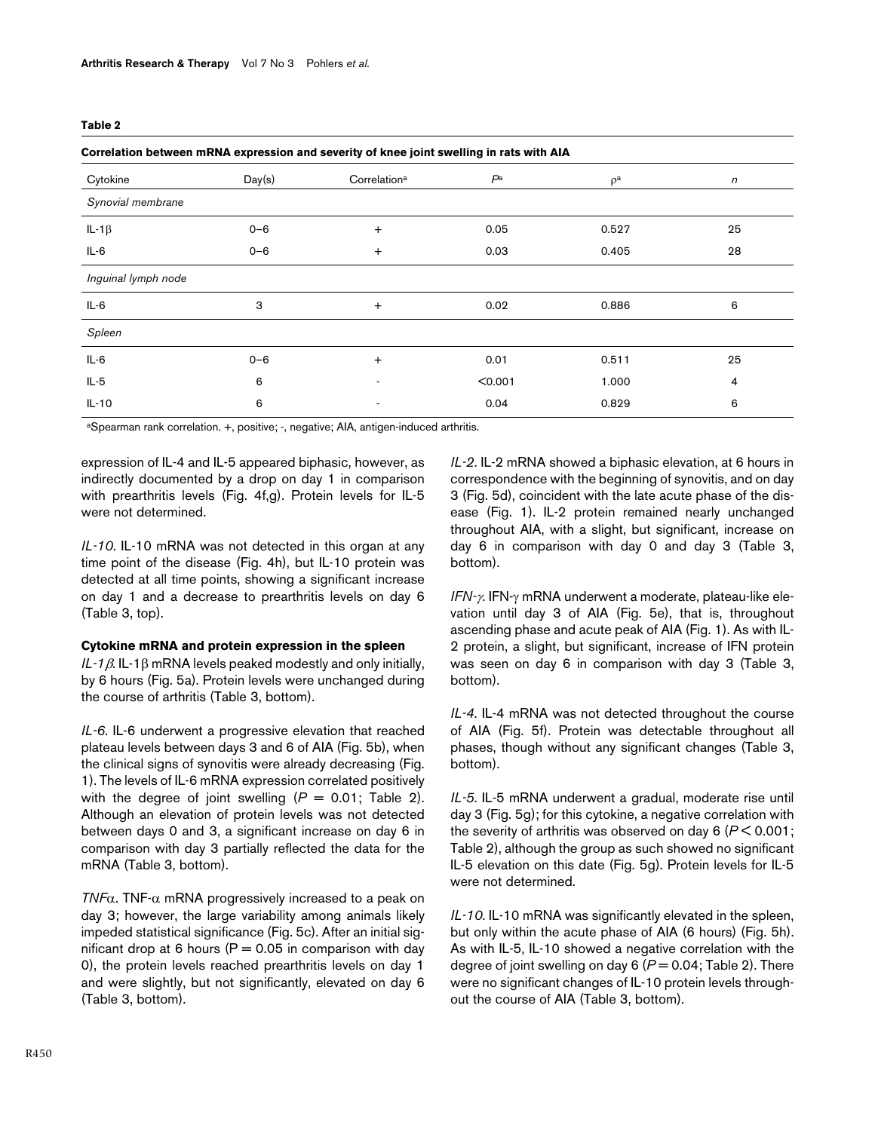<span id="page-5-0"></span>

| ×<br>. . | ۰. | w<br>۰. |  |
|----------|----|---------|--|
|----------|----|---------|--|

| Correlation between mRNA expression and severity of knee joint swelling in rats with AIA |         |                          |                |          |    |
|------------------------------------------------------------------------------------------|---------|--------------------------|----------------|----------|----|
| Cytokine                                                                                 | Day(s)  | Correlation <sup>a</sup> | P <sup>a</sup> | $\rho^a$ | n  |
| Synovial membrane                                                                        |         |                          |                |          |    |
| IL-1 $\beta$                                                                             | $0 - 6$ | $\ddot{}$                | 0.05           | 0.527    | 25 |
| $IL-6$                                                                                   | $0 - 6$ | $\ddot{}$                | 0.03           | 0.405    | 28 |
| Inguinal lymph node                                                                      |         |                          |                |          |    |
| $IL-6$                                                                                   | 3       | $+$                      | 0.02           | 0.886    | 6  |
| Spleen                                                                                   |         |                          |                |          |    |
| $IL-6$                                                                                   | $0 - 6$ | $\ddot{}$                | 0.01           | 0.511    | 25 |
| $IL-5$                                                                                   | 6       |                          | < 0.001        | 1.000    | 4  |
| $IL-10$                                                                                  | 6       |                          | 0.04           | 0.829    | 6  |

aSpearman rank correlation. +, positive; -, negative; AIA, antigen-induced arthritis.

expression of IL-4 and IL-5 appeared biphasic, however, as indirectly documented by a drop on day 1 in comparison with prearthritis levels (Fig. [4f](#page-8-0),g). Protein levels for IL-5 were not determined.

*IL-10*. IL-10 mRNA was not detected in this organ at any time point of the disease (Fig. [4h](#page-8-0)), but IL-10 protein was detected at all time points, showing a significant increase on day 1 and a decrease to prearthritis levels on day 6 (Table [3,](#page-7-0) top).

#### **Cytokine mRNA and protein expression in the spleen**

*IL-1*β. IL-1β mRNA levels peaked modestly and only initially, by 6 hours (Fig. [5](#page-9-0)a). Protein levels were unchanged during the course of arthritis (Table [3](#page-7-0), bottom).

*IL-6*. IL-6 underwent a progressive elevation that reached plateau levels between days 3 and 6 of AIA (Fig. [5b](#page-9-0)), when the clinical signs of synovitis were already decreasing (Fig. 1). The levels of IL-6 mRNA expression correlated positively with the degree of joint swelling  $(P = 0.01;$  Table [2\)](#page-5-0). Although an elevation of protein levels was not detected between days 0 and 3, a significant increase on day 6 in comparison with day 3 partially reflected the data for the mRNA (Table [3,](#page-7-0) bottom).

*TNF*α. TNF-α mRNA progressively increased to a peak on day 3; however, the large variability among animals likely impeded statistical significance (Fig. [5c](#page-9-0)). After an initial significant drop at 6 hours ( $P = 0.05$  in comparison with day 0), the protein levels reached prearthritis levels on day 1 and were slightly, but not significantly, elevated on day 6 (Table [3,](#page-7-0) bottom).

*IL-2*. IL-2 mRNA showed a biphasic elevation, at 6 hours in correspondence with the beginning of synovitis, and on day 3 (Fig. [5d](#page-9-0)), coincident with the late acute phase of the disease (Fig. 1). IL-2 protein remained nearly unchanged throughout AIA, with a slight, but significant, increase on day 6 in comparison with day 0 and day 3 (Table [3,](#page-7-0) bottom).

*IFN-*γ. IFN-γ mRNA underwent a moderate, plateau-like elevation until day 3 of AIA (Fig. [5](#page-9-0)e), that is, throughout ascending phase and acute peak of AIA (Fig. 1). As with IL-2 protein, a slight, but significant, increase of IFN protein was seen on day 6 in comparison with day 3 (Table [3,](#page-7-0) bottom).

*IL-4*. IL-4 mRNA was not detected throughout the course of AIA (Fig. [5f](#page-9-0)). Protein was detectable throughout all phases, though without any significant changes (Table [3,](#page-7-0) bottom).

*IL-5*. IL-5 mRNA underwent a gradual, moderate rise until day 3 (Fig. [5](#page-9-0)g); for this cytokine, a negative correlation with the severity of arthritis was observed on day 6 (*P* < 0.001; Table [2\)](#page-5-0), although the group as such showed no significant IL-5 elevation on this date (Fig. [5](#page-9-0)g). Protein levels for IL-5 were not determined.

*IL-10*. IL-10 mRNA was significantly elevated in the spleen, but only within the acute phase of AIA (6 hours) (Fig. [5](#page-9-0)h). As with IL-5, IL-10 showed a negative correlation with the degree of joint swelling on day 6 (P = 0.04; Table [2\)](#page-5-0). There were no significant changes of IL-10 protein levels throughout the course of AIA (Table [3,](#page-7-0) bottom).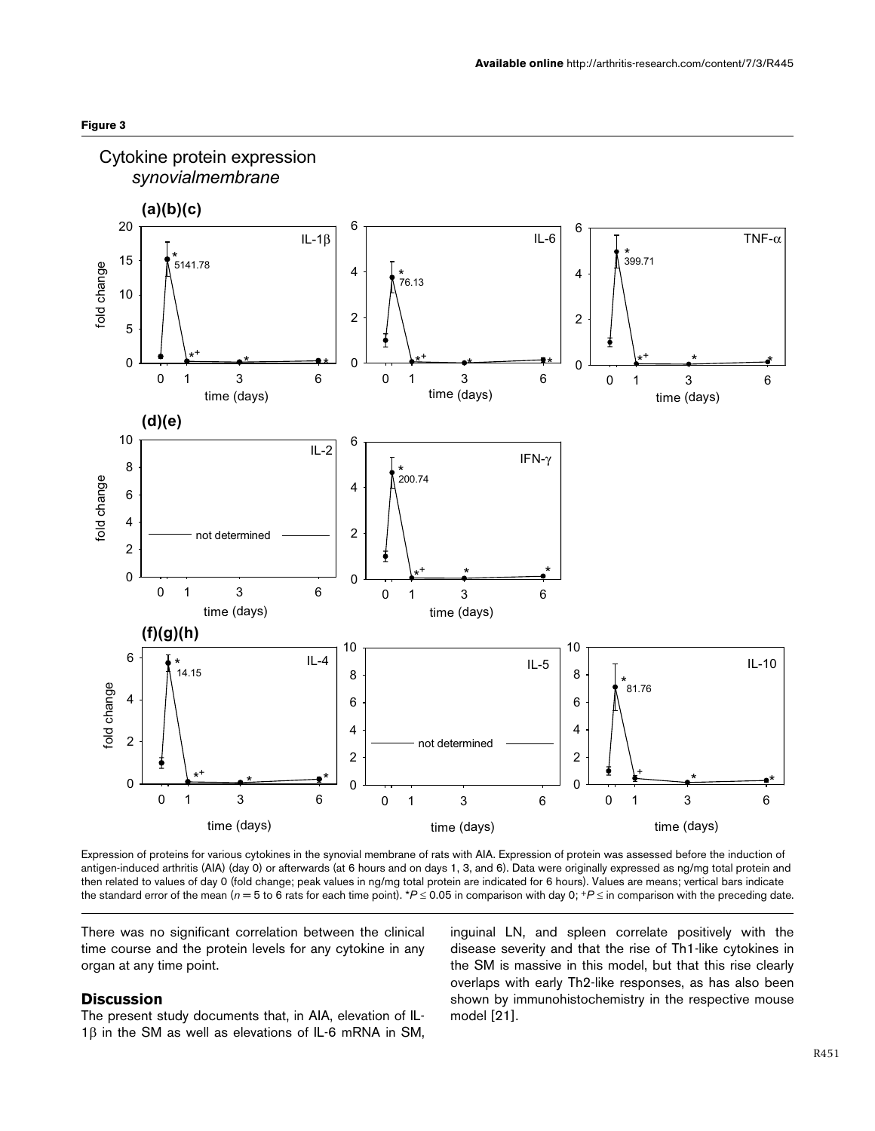



Expression of proteins for various cytokines in the synovial membrane of rats with AIA. Expression of protein was assessed before the induction of antigen-induced arthritis (AIA) (day 0) or afterwards (at 6 hours and on days 1, 3, and 6). Data were originally expressed as ng/mg total protein and then related to values of day 0 (fold change; peak values in ng/mg total protein are indicated for 6 hours). Values are means; vertical bars indicate the standard error of the mean ( $n = 5$  to 6 rats for each time point). \* $P \le 0.05$  in comparison with day 0; \* $P \le$  in comparison with the preceding date.

There was no significant correlation between the clinical time course and the protein levels for any cytokine in any organ at any time point.

## **Discussion**

The present study documents that, in AIA, elevation of IL-1β in the SM as well as elevations of IL-6 mRNA in SM, inguinal LN, and spleen correlate positively with the disease severity and that the rise of Th1-like cytokines in the SM is massive in this model, but that this rise clearly overlaps with early Th2-like responses, as has also been shown by immunohistochemistry in the respective mouse model [21].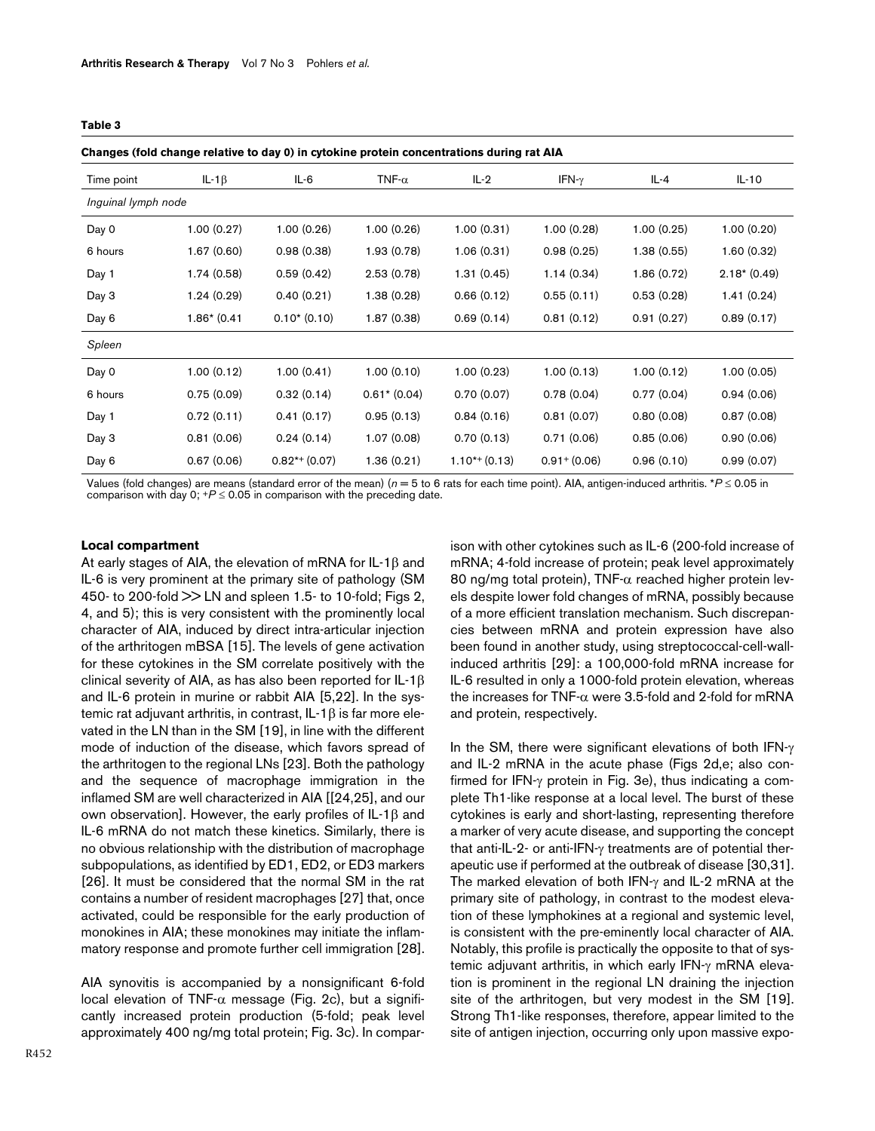#### <span id="page-7-0"></span>**Table 3**

**Changes (fold change relative to day 0) in cytokine protein concentrations during rat AIA**

| --------<br>-, - <i>,</i> -, -- - - |               |                 |                |                    |                 |             |               |
|-------------------------------------|---------------|-----------------|----------------|--------------------|-----------------|-------------|---------------|
| Time point                          | IL-1 $\beta$  | IL-6            | TNF- $\alpha$  | $IL-2$             | IFN- $\gamma$   | IL-4        | $IL-10$       |
| Inguinal lymph node                 |               |                 |                |                    |                 |             |               |
| Day 0                               | 1.00(0.27)    | 1.00(0.26)      | 1.00(0.26)     | 1.00(0.31)         | 1.00(0.28)      | 1.00(0.25)  | 1.00(0.20)    |
| 6 hours                             | 1.67(0.60)    | 0.98(0.38)      | 1.93 (0.78)    | 1.06(0.31)         | 0.98(0.25)      | 1.38 (0.55) | 1.60(0.32)    |
| Day 1                               | 1.74(0.58)    | 0.59(0.42)      | 2.53(0.78)     | 1.31(0.45)         | 1.14(0.34)      | 1.86(0.72)  | $2.18*(0.49)$ |
| Day 3                               | 1.24(0.29)    | 0.40(0.21)      | 1.38(0.28)     | 0.66(0.12)         | 0.55(0.11)      | 0.53(0.28)  | 1.41(0.24)    |
| Day 6                               | $1.86*(0.41)$ | $0.10*(0.10)$   | 1.87 (0.38)    | 0.69(0.14)         | 0.81(0.12)      | 0.91(0.27)  | 0.89(0.17)    |
| Spleen                              |               |                 |                |                    |                 |             |               |
| Day 0                               | 1.00(0.12)    | 1.00(0.41)      | 1.00(0.10)     | 1.00(0.23)         | 1.00(0.13)      | 1.00(0.12)  | 1.00(0.05)    |
| 6 hours                             | 0.75(0.09)    | 0.32(0.14)      | $0.61* (0.04)$ | 0.70(0.07)         | 0.78(0.04)      | 0.77(0.04)  | 0.94(0.06)    |
| Day 1                               | 0.72(0.11)    | 0.41(0.17)      | 0.95(0.13)     | 0.84(0.16)         | 0.81(0.07)      | 0.80(0.08)  | 0.87(0.08)    |
| Day 3                               | 0.81(0.06)    | 0.24(0.14)      | 1.07(0.08)     | 0.70(0.13)         | 0.71(0.06)      | 0.85(0.06)  | 0.90(0.06)    |
| Day 6                               | 0.67(0.06)    | $0.82**$ (0.07) | 1.36(0.21)     | $1.10^{*+} (0.13)$ | $0.91 + (0.06)$ | 0.96(0.10)  | 0.99(0.07)    |

Values (fold changes) are means (standard error of the mean) (*n* = 5 to 6 rats for each time point). AIA, antigen-induced arthritis. \**P* ≤ 0.05 in comparison with day 0;  $+P \le 0.05$  in comparison with the preceding date.

#### **Local compartment**

At early stages of AIA, the elevation of mRNA for IL-1β and IL-6 is very prominent at the primary site of pathology (SM 450- to 200-fold >> LN and spleen 1.5- to 10-fold; Figs 2, [4,](#page-8-0) and [5](#page-9-0)); this is very consistent with the prominently local character of AIA, induced by direct intra-articular injection of the arthritogen mBSA [15]. The levels of gene activation for these cytokines in the SM correlate positively with the clinical severity of AIA, as has also been reported for IL-1β and IL-6 protein in murine or rabbit AIA [5,22]. In the systemic rat adjuvant arthritis, in contrast, IL-1β is far more elevated in the LN than in the SM [19], in line with the different mode of induction of the disease, which favors spread of the arthritogen to the regional LNs [23]. Both the pathology and the sequence of macrophage immigration in the inflamed SM are well characterized in AIA [[24,25], and our own observation]. However, the early profiles of IL-1β and IL-6 mRNA do not match these kinetics. Similarly, there is no obvious relationship with the distribution of macrophage subpopulations, as identified by ED1, ED2, or ED3 markers [26]. It must be considered that the normal SM in the rat contains a number of resident macrophages [27] that, once activated, could be responsible for the early production of monokines in AIA; these monokines may initiate the inflammatory response and promote further cell immigration [28].

AIA synovitis is accompanied by a nonsignificant 6-fold local elevation of TNF- $\alpha$  message (Fig. 2c), but a significantly increased protein production (5-fold; peak level approximately 400 ng/mg total protein; Fig. 3c). In compar-

R452

ison with other cytokines such as IL-6 (200-fold increase of mRNA; 4-fold increase of protein; peak level approximately 80 ng/mg total protein), TNF-α reached higher protein levels despite lower fold changes of mRNA, possibly because of a more efficient translation mechanism. Such discrepancies between mRNA and protein expression have also been found in another study, using streptococcal-cell-wallinduced arthritis [29]: a 100,000-fold mRNA increase for IL-6 resulted in only a 1000-fold protein elevation, whereas the increases for TNF-α were 3.5-fold and 2-fold for mRNA and protein, respectively.

In the SM, there were significant elevations of both IFN- $\gamma$ and IL-2 mRNA in the acute phase (Figs 2d,e; also confirmed for IFN-γ protein in Fig. 3e), thus indicating a complete Th1-like response at a local level. The burst of these cytokines is early and short-lasting, representing therefore a marker of very acute disease, and supporting the concept that anti-IL-2- or anti-IFN-γ treatments are of potential therapeutic use if performed at the outbreak of disease [30,31]. The marked elevation of both IFN-γ and IL-2 mRNA at the primary site of pathology, in contrast to the modest elevation of these lymphokines at a regional and systemic level, is consistent with the pre-eminently local character of AIA. Notably, this profile is practically the opposite to that of systemic adjuvant arthritis, in which early IFN-γ mRNA elevation is prominent in the regional LN draining the injection site of the arthritogen, but very modest in the SM [19]. Strong Th1-like responses, therefore, appear limited to the site of antigen injection, occurring only upon massive expo-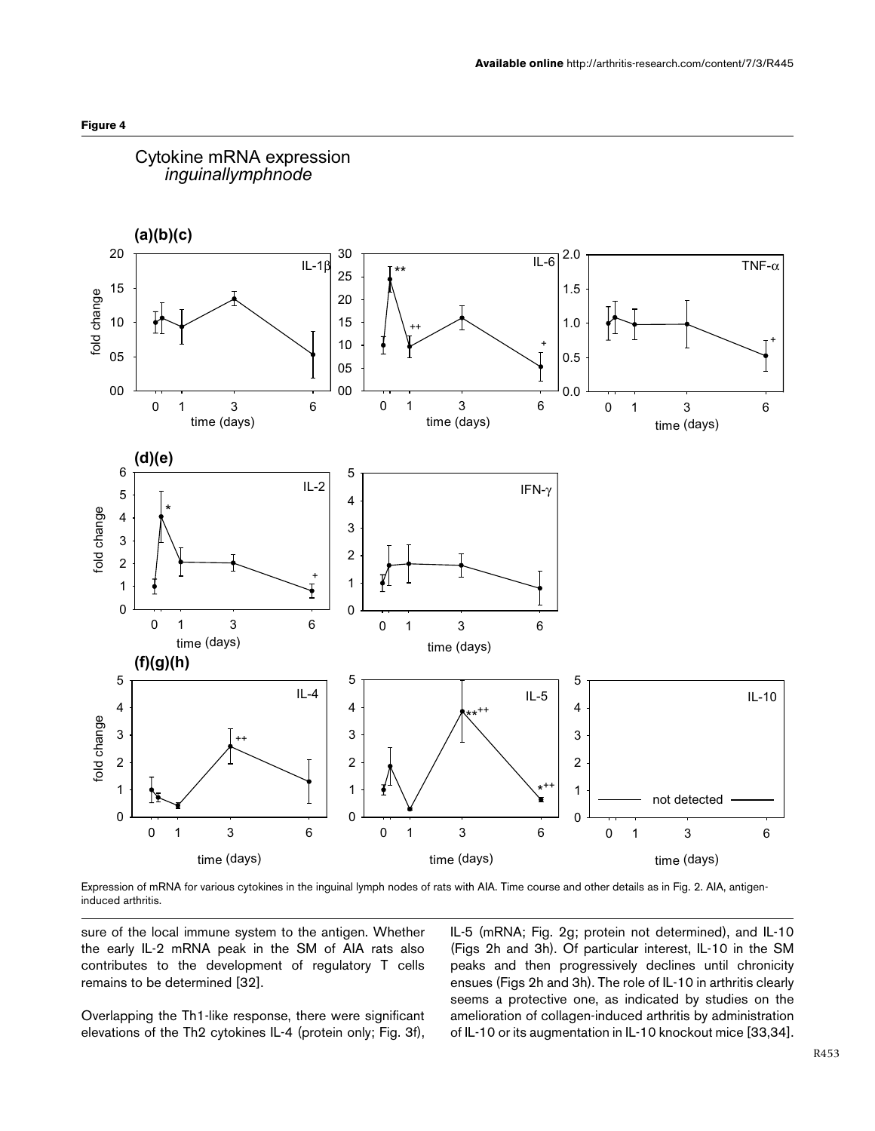

<span id="page-8-0"></span>

Expression of mRNA for various cytokines in the inguinal lymph nodes of rats with AIA. Time course and other details as in Fig. 2. AIA, antigeninduced arthritis.

sure of the local immune system to the antigen. Whether the early IL-2 mRNA peak in the SM of AIA rats also contributes to the development of regulatory T cells remains to be determined [32].

Overlapping the Th1-like response, there were significant elevations of the Th2 cytokines IL-4 (protein only; Fig. 3f),

IL-5 (mRNA; Fig. 2g; protein not determined), and IL-10 (Figs 2h and 3h). Of particular interest, IL-10 in the SM peaks and then progressively declines until chronicity ensues (Figs 2h and 3h). The role of IL-10 in arthritis clearly seems a protective one, as indicated by studies on the amelioration of collagen-induced arthritis by administration of IL-10 or its augmentation in IL-10 knockout mice [33,34].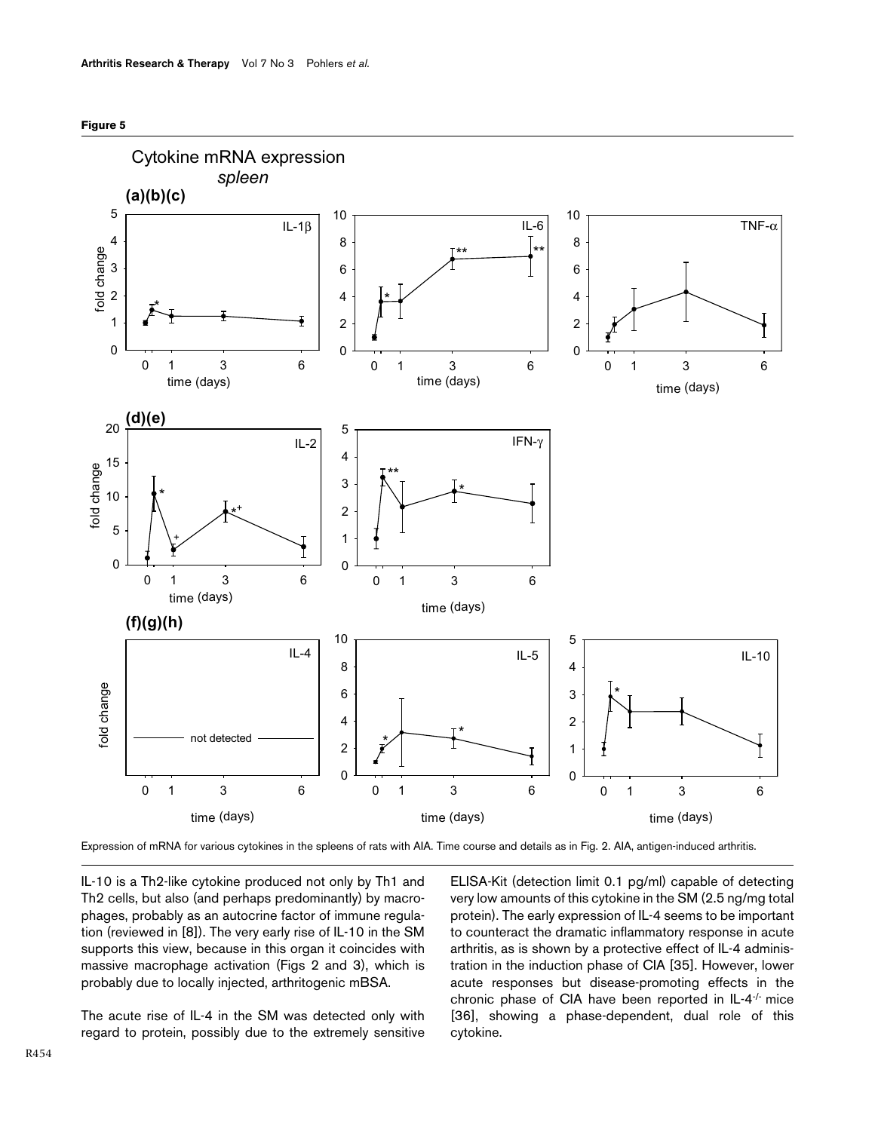

<span id="page-9-0"></span>

Expression of mRNA for various cytokines in the spleens of rats with AIA. Time course and details as in Fig. 2. AIA, antigen-induced arthritis.

IL-10 is a Th2-like cytokine produced not only by Th1 and Th2 cells, but also (and perhaps predominantly) by macrophages, probably as an autocrine factor of immune regulation (reviewed in [8]). The very early rise of IL-10 in the SM supports this view, because in this organ it coincides with massive macrophage activation (Figs 2 and 3), which is probably due to locally injected, arthritogenic mBSA.

The acute rise of IL-4 in the SM was detected only with regard to protein, possibly due to the extremely sensitive

ELISA-Kit (detection limit 0.1 pg/ml) capable of detecting very low amounts of this cytokine in the SM (2.5 ng/mg total protein). The early expression of IL-4 seems to be important to counteract the dramatic inflammatory response in acute arthritis, as is shown by a protective effect of IL-4 administration in the induction phase of CIA [35]. However, lower acute responses but disease-promoting effects in the chronic phase of CIA have been reported in IL-4-/- mice [36], showing a phase-dependent, dual role of this cytokine.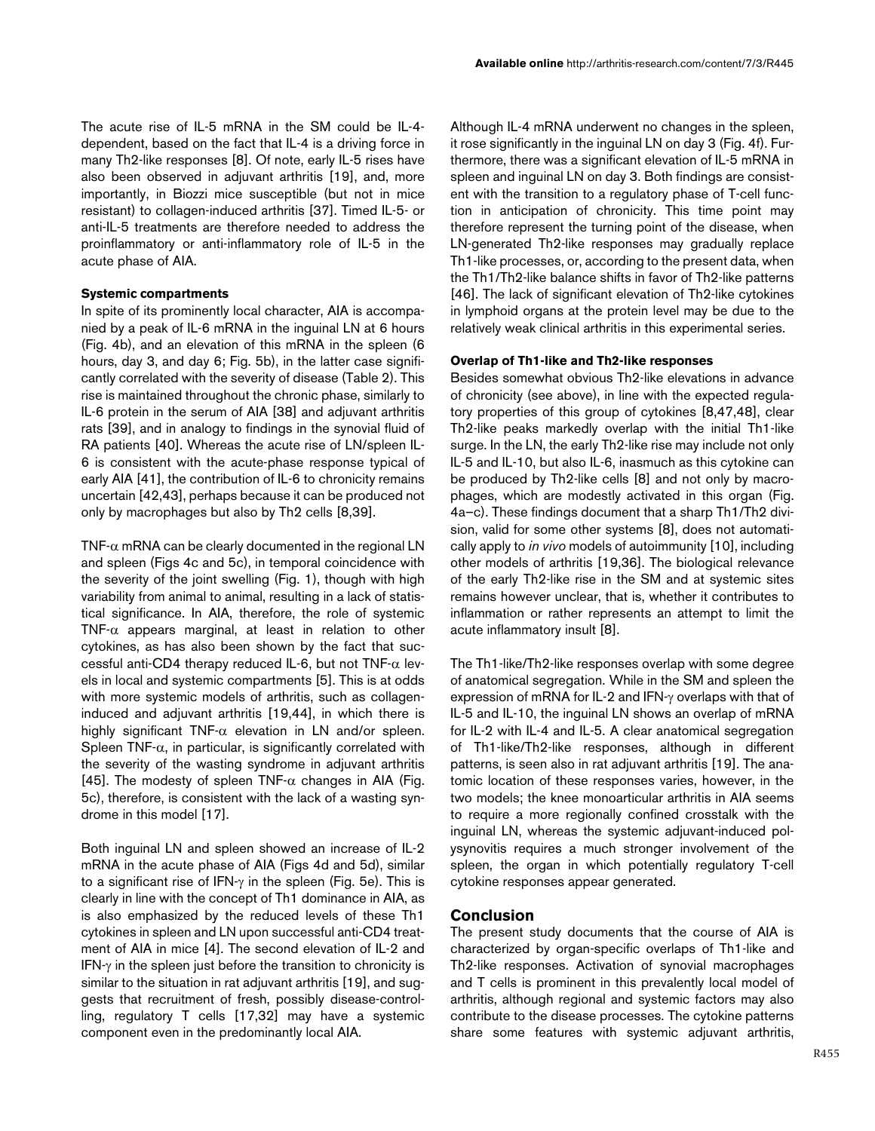The acute rise of IL-5 mRNA in the SM could be IL-4 dependent, based on the fact that IL-4 is a driving force in many Th2-like responses [8]. Of note, early IL-5 rises have also been observed in adjuvant arthritis [19], and, more importantly, in Biozzi mice susceptible (but not in mice resistant) to collagen-induced arthritis [37]. Timed IL-5- or anti-IL-5 treatments are therefore needed to address the proinflammatory or anti-inflammatory role of IL-5 in the acute phase of AIA.

### **Systemic compartments**

In spite of its prominently local character, AIA is accompanied by a peak of IL-6 mRNA in the inguinal LN at 6 hours (Fig. [4b](#page-8-0)), and an elevation of this mRNA in the spleen (6 hours, day 3, and day 6; Fig. [5](#page-9-0)b), in the latter case significantly correlated with the severity of disease (Table [2\)](#page-5-0). This rise is maintained throughout the chronic phase, similarly to IL-6 protein in the serum of AIA [38] and adjuvant arthritis rats [39], and in analogy to findings in the synovial fluid of RA patients [40]. Whereas the acute rise of LN/spleen IL-6 is consistent with the acute-phase response typical of early AIA [41], the contribution of IL-6 to chronicity remains uncertain [42,43], perhaps because it can be produced not only by macrophages but also by Th2 cells [8,39].

TNF- $\alpha$  mRNA can be clearly documented in the regional LN and spleen (Figs [4c](#page-8-0) and [5c](#page-9-0)), in temporal coincidence with the severity of the joint swelling (Fig. 1), though with high variability from animal to animal, resulting in a lack of statistical significance. In AIA, therefore, the role of systemic TNF- $\alpha$  appears marginal, at least in relation to other cytokines, as has also been shown by the fact that successful anti-CD4 therapy reduced IL-6, but not TNF- $\alpha$  levels in local and systemic compartments [5]. This is at odds with more systemic models of arthritis, such as collageninduced and adjuvant arthritis [19,44], in which there is highly significant TNF- $\alpha$  elevation in LN and/or spleen. Spleen TNF- $\alpha$ , in particular, is significantly correlated with the severity of the wasting syndrome in adjuvant arthritis [45]. The modesty of spleen TNF- $\alpha$  changes in AIA (Fig. [5c](#page-9-0)), therefore, is consistent with the lack of a wasting syndrome in this model [17].

Both inguinal LN and spleen showed an increase of IL-2 mRNA in the acute phase of AIA (Figs [4d](#page-8-0) and [5](#page-9-0)d), similar to a significant rise of IFN-γ in the spleen (Fig. [5](#page-9-0)e). This is clearly in line with the concept of Th1 dominance in AIA, as is also emphasized by the reduced levels of these Th1 cytokines in spleen and LN upon successful anti-CD4 treatment of AIA in mice [4]. The second elevation of IL-2 and IFN-γ in the spleen just before the transition to chronicity is similar to the situation in rat adjuvant arthritis [19], and suggests that recruitment of fresh, possibly disease-controlling, regulatory T cells [17,32] may have a systemic component even in the predominantly local AIA.

Although IL-4 mRNA underwent no changes in the spleen, it rose significantly in the inguinal LN on day 3 (Fig. [4](#page-8-0)f). Furthermore, there was a significant elevation of IL-5 mRNA in spleen and inguinal LN on day 3. Both findings are consistent with the transition to a regulatory phase of T-cell function in anticipation of chronicity. This time point may therefore represent the turning point of the disease, when LN-generated Th2-like responses may gradually replace Th1-like processes, or, according to the present data, when the Th1/Th2-like balance shifts in favor of Th2-like patterns [46]. The lack of significant elevation of Th2-like cytokines in lymphoid organs at the protein level may be due to the relatively weak clinical arthritis in this experimental series.

### **Overlap of Th1-like and Th2-like responses**

Besides somewhat obvious Th2-like elevations in advance of chronicity (see above), in line with the expected regulatory properties of this group of cytokines [8,47,48], clear Th2-like peaks markedly overlap with the initial Th1-like surge. In the LN, the early Th2-like rise may include not only IL-5 and IL-10, but also IL-6, inasmuch as this cytokine can be produced by Th2-like cells [8] and not only by macrophages, which are modestly activated in this organ (Fig. [4a](#page-8-0)–c). These findings document that a sharp Th1/Th2 division, valid for some other systems [8], does not automatically apply to *in vivo* models of autoimmunity [10], including other models of arthritis [19,36]. The biological relevance of the early Th2-like rise in the SM and at systemic sites remains however unclear, that is, whether it contributes to inflammation or rather represents an attempt to limit the acute inflammatory insult [8].

The Th1-like/Th2-like responses overlap with some degree of anatomical segregation. While in the SM and spleen the expression of mRNA for IL-2 and IFN-γ overlaps with that of IL-5 and IL-10, the inguinal LN shows an overlap of mRNA for IL-2 with IL-4 and IL-5. A clear anatomical segregation of Th1-like/Th2-like responses, although in different patterns, is seen also in rat adjuvant arthritis [19]. The anatomic location of these responses varies, however, in the two models; the knee monoarticular arthritis in AIA seems to require a more regionally confined crosstalk with the inguinal LN, whereas the systemic adjuvant-induced polysynovitis requires a much stronger involvement of the spleen, the organ in which potentially regulatory T-cell cytokine responses appear generated.

## **Conclusion**

The present study documents that the course of AIA is characterized by organ-specific overlaps of Th1-like and Th2-like responses. Activation of synovial macrophages and T cells is prominent in this prevalently local model of arthritis, although regional and systemic factors may also contribute to the disease processes. The cytokine patterns share some features with systemic adjuvant arthritis,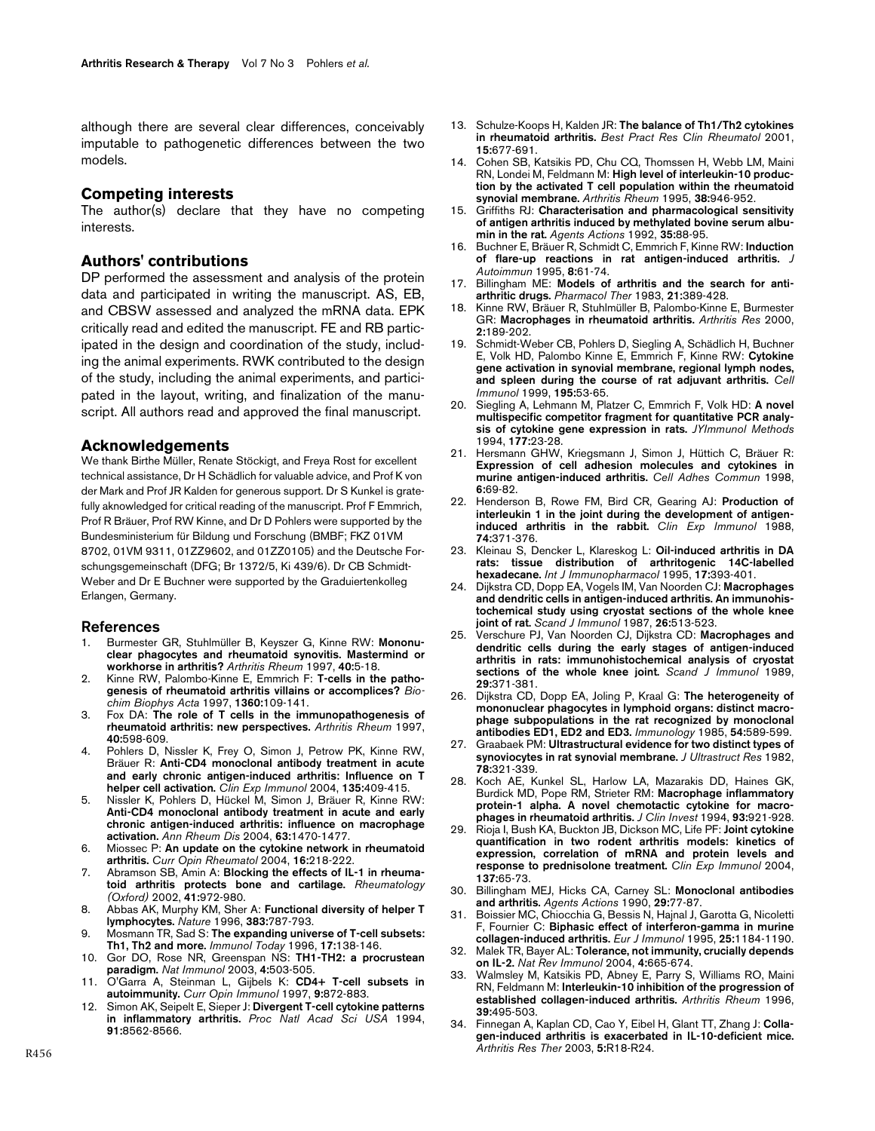although there are several clear differences, conceivably imputable to pathogenetic differences between the two models.

#### **Competing interests**

The author(s) declare that they have no competing interests.

### **Authors' contributions**

DP performed the assessment and analysis of the protein data and participated in writing the manuscript. AS, EB, and CBSW assessed and analyzed the mRNA data. EPK critically read and edited the manuscript. FE and RB participated in the design and coordination of the study, including the animal experiments. RWK contributed to the design of the study, including the animal experiments, and participated in the layout, writing, and finalization of the manuscript. All authors read and approved the final manuscript.

### **Acknowledgements**

We thank Birthe Müller, Renate Stöckigt, and Freya Rost for excellent technical assistance, Dr H Schädlich for valuable advice, and Prof K von der Mark and Prof JR Kalden for generous support. Dr S Kunkel is gratefully aknowledged for critical reading of the manuscript. Prof F Emmrich, Prof R Bräuer, Prof RW Kinne, and Dr D Pohlers were supported by the Bundesministerium für Bildung und Forschung (BMBF; FKZ 01VM 8702, 01VM 9311, 01ZZ9602, and 01ZZ0105) and the Deutsche Forschungsgemeinschaft (DFG; Br 1372/5, Ki 439/6). Dr CB Schmidt-Weber and Dr E Buchner were supported by the Graduiertenkolleg Erlangen, Germany.

#### **References**

- 1. Burmester GR, Stuhlmüller B, Keyszer G, Kinne RW: **[Mononu](http://www.ncbi.nlm.nih.gov/entrez/query.fcgi?cmd=Retrieve&db=PubMed&dopt=Abstract&list_uids=9008595)[clear phagocytes and rheumatoid synovitis. Mastermind or](http://www.ncbi.nlm.nih.gov/entrez/query.fcgi?cmd=Retrieve&db=PubMed&dopt=Abstract&list_uids=9008595) [workhorse in arthritis?](http://www.ncbi.nlm.nih.gov/entrez/query.fcgi?cmd=Retrieve&db=PubMed&dopt=Abstract&list_uids=9008595)** *Arthritis Rheum* 1997, **40:**5-18.
- 2. Kinne RW, Palombo-Kinne E, Emmrich F: **[T-cells in the patho](http://www.ncbi.nlm.nih.gov/entrez/query.fcgi?cmd=Retrieve&db=PubMed&dopt=Abstract&list_uids=9128178)[genesis of rheumatoid arthritis villains or accomplices?](http://www.ncbi.nlm.nih.gov/entrez/query.fcgi?cmd=Retrieve&db=PubMed&dopt=Abstract&list_uids=9128178)** *Biochim Biophys Acta* 1997, **1360:**109-141.
- 3. Fox DA: **[The role of T cells in the immunopathogenesis of](http://www.ncbi.nlm.nih.gov/entrez/query.fcgi?cmd=Retrieve&db=PubMed&dopt=Abstract&list_uids=9125240) [rheumatoid arthritis: new perspectives.](http://www.ncbi.nlm.nih.gov/entrez/query.fcgi?cmd=Retrieve&db=PubMed&dopt=Abstract&list_uids=9125240)** *Arthritis Rheum* 1997, **40:**598-609.
- 4. Pohlers D, Nissler K, Frey O, Simon J, Petrow PK, Kinne RW, Bräuer R: **[Anti-CD4 monoclonal antibody treatment in acute](http://www.ncbi.nlm.nih.gov/entrez/query.fcgi?cmd=Retrieve&db=PubMed&dopt=Abstract&list_uids=15008972) [and early chronic antigen-induced arthritis: Influence on T](http://www.ncbi.nlm.nih.gov/entrez/query.fcgi?cmd=Retrieve&db=PubMed&dopt=Abstract&list_uids=15008972) [helper cell activation.](http://www.ncbi.nlm.nih.gov/entrez/query.fcgi?cmd=Retrieve&db=PubMed&dopt=Abstract&list_uids=15008972)** *Clin Exp Immunol* 2004, **135:**409-415.
- 5. Nissler K, Pohlers D, Hückel M, Simon J, Bräuer R, Kinne RW: **[Anti-CD4 monoclonal antibody treatment in acute and early](http://www.ncbi.nlm.nih.gov/entrez/query.fcgi?cmd=Retrieve&db=PubMed&dopt=Abstract&list_uids=15479897) chronic antigen-induced arthritis: influence on macrophage [activation.](http://www.ncbi.nlm.nih.gov/entrez/query.fcgi?cmd=Retrieve&db=PubMed&dopt=Abstract&list_uids=15479897)** *Ann Rheum Dis* 2004, **63:**1470-1477.
- 6. Miossec P: **[An update on the cytokine network in rheumatoid](http://www.ncbi.nlm.nih.gov/entrez/query.fcgi?cmd=Retrieve&db=PubMed&dopt=Abstract&list_uids=15103248) [arthritis.](http://www.ncbi.nlm.nih.gov/entrez/query.fcgi?cmd=Retrieve&db=PubMed&dopt=Abstract&list_uids=15103248)** *Curr Opin Rheumatol* 2004, **16:**218-222.
- 7. Abramson SB, Amin A: **[Blocking the effects of IL-1 in rheuma](http://www.ncbi.nlm.nih.gov/entrez/query.fcgi?cmd=Retrieve&db=PubMed&dopt=Abstract&list_uids=12209029)[toid arthritis protects bone and cartilage.](http://www.ncbi.nlm.nih.gov/entrez/query.fcgi?cmd=Retrieve&db=PubMed&dopt=Abstract&list_uids=12209029)** *Rheumatology (Oxford)* 2002, **41:**972-980.
- 8. Abbas AK, Murphy KM, Sher A: **[Functional diversity of helper T](http://www.ncbi.nlm.nih.gov/entrez/query.fcgi?cmd=Retrieve&db=PubMed&dopt=Abstract&list_uids=8893001) [lymphocytes.](http://www.ncbi.nlm.nih.gov/entrez/query.fcgi?cmd=Retrieve&db=PubMed&dopt=Abstract&list_uids=8893001)** *Nature* 1996, **383:**787-793.
- 9. Mosmann TR, Sad S: **[The expanding universe of T-cell subsets:](http://www.ncbi.nlm.nih.gov/entrez/query.fcgi?cmd=Retrieve&db=PubMed&dopt=Abstract&list_uids=8820272) [Th1, Th2 and more.](http://www.ncbi.nlm.nih.gov/entrez/query.fcgi?cmd=Retrieve&db=PubMed&dopt=Abstract&list_uids=8820272)** *Immunol Today* 1996, **17:**138-146.
- 10. Gor DO, Rose NR, Greenspan NS: **[TH1-TH2: a procrustean](http://www.ncbi.nlm.nih.gov/entrez/query.fcgi?cmd=Retrieve&db=PubMed&dopt=Abstract&list_uids=12774069) [paradigm.](http://www.ncbi.nlm.nih.gov/entrez/query.fcgi?cmd=Retrieve&db=PubMed&dopt=Abstract&list_uids=12774069)** *Nat Immunol* 2003, **4:**503-505.
- 11. O'Garra A, Steinman L, Gijbels K: **[CD4+ T-cell subsets in](http://www.ncbi.nlm.nih.gov/entrez/query.fcgi?cmd=Retrieve&db=PubMed&dopt=Abstract&list_uids=9492992) [autoimmunity.](http://www.ncbi.nlm.nih.gov/entrez/query.fcgi?cmd=Retrieve&db=PubMed&dopt=Abstract&list_uids=9492992)** *Curr Opin Immunol* 1997, **9:**872-883.
- 12. Simon AK, Seipelt E, Sieper J: **[Divergent T-cell cytokine patterns](http://www.ncbi.nlm.nih.gov/entrez/query.fcgi?cmd=Retrieve&db=PubMed&dopt=Abstract&list_uids=8078923) [in inflammatory arthritis.](http://www.ncbi.nlm.nih.gov/entrez/query.fcgi?cmd=Retrieve&db=PubMed&dopt=Abstract&list_uids=8078923)** *Proc Natl Acad Sci USA* 1994, **91:**8562-8566.
- 13. Schulze-Koops H, Kalden JR: **[The balance of Th1/Th2 cytokines](http://www.ncbi.nlm.nih.gov/entrez/query.fcgi?cmd=Retrieve&db=PubMed&dopt=Abstract&list_uids=11812015) [in rheumatoid arthritis.](http://www.ncbi.nlm.nih.gov/entrez/query.fcgi?cmd=Retrieve&db=PubMed&dopt=Abstract&list_uids=11812015)** *Best Pract Res Clin Rheumatol* 2001, **15:**677-691.
- 14. Cohen SB, Katsikis PD, Chu CQ, Thomssen H, Webb LM, Maini RN, Londei M, Feldmann M: **[High level of interleukin-10 produc](http://www.ncbi.nlm.nih.gov/entrez/query.fcgi?cmd=Retrieve&db=PubMed&dopt=Abstract&list_uids=7612044)[tion by the activated T cell population within the rheumatoid](http://www.ncbi.nlm.nih.gov/entrez/query.fcgi?cmd=Retrieve&db=PubMed&dopt=Abstract&list_uids=7612044) [synovial membrane.](http://www.ncbi.nlm.nih.gov/entrez/query.fcgi?cmd=Retrieve&db=PubMed&dopt=Abstract&list_uids=7612044)** *Arthritis Rheum* 1995, **38:**946-952.
- 15. Griffiths RJ: **[Characterisation and pharmacological sensitivity](http://www.ncbi.nlm.nih.gov/entrez/query.fcgi?cmd=Retrieve&db=PubMed&dopt=Abstract&list_uids=1509982) [of antigen arthritis induced by methylated bovine serum albu](http://www.ncbi.nlm.nih.gov/entrez/query.fcgi?cmd=Retrieve&db=PubMed&dopt=Abstract&list_uids=1509982)[min in the rat.](http://www.ncbi.nlm.nih.gov/entrez/query.fcgi?cmd=Retrieve&db=PubMed&dopt=Abstract&list_uids=1509982)** *Agents Actions* 1992, **35:**88-95.
- 16. Buchner E, Bräuer R, Schmidt C, Emmrich F, Kinne RW: **[Induction](http://www.ncbi.nlm.nih.gov/entrez/query.fcgi?cmd=Retrieve&db=PubMed&dopt=Abstract&list_uids=7734037) [of flare-up reactions in rat antigen-induced arthritis.](http://www.ncbi.nlm.nih.gov/entrez/query.fcgi?cmd=Retrieve&db=PubMed&dopt=Abstract&list_uids=7734037)** *J Autoimmun* 1995, **8:**61-74.
- 17. Billingham ME: **[Models of arthritis and the search for anti](http://www.ncbi.nlm.nih.gov/entrez/query.fcgi?cmd=Retrieve&db=PubMed&dopt=Abstract&list_uids=6138788)[arthritic drugs.](http://www.ncbi.nlm.nih.gov/entrez/query.fcgi?cmd=Retrieve&db=PubMed&dopt=Abstract&list_uids=6138788)** *Pharmacol Ther* 1983, **21:**389-428.
- 18. Kinne RW, Bräuer R, Stuhlmüller B, Palombo-Kinne E, Burmester GR: **[Macrophages in rheumatoid arthritis.](http://www.ncbi.nlm.nih.gov/entrez/query.fcgi?cmd=Retrieve&db=PubMed&dopt=Abstract&list_uids=11094428)** *Arthritis Res* 2000, **2:**189-202.
- 19. Schmidt-Weber CB, Pohlers D, Siegling A, Schädlich H, Buchner E, Volk HD, Palombo Kinne E, Emmrich F, Kinne RW: **[Cytokine](http://www.ncbi.nlm.nih.gov/entrez/query.fcgi?cmd=Retrieve&db=PubMed&dopt=Abstract&list_uids=10433797) [gene activation in synovial membrane, regional lymph nodes,](http://www.ncbi.nlm.nih.gov/entrez/query.fcgi?cmd=Retrieve&db=PubMed&dopt=Abstract&list_uids=10433797) [and spleen during the course of rat adjuvant arthritis.](http://www.ncbi.nlm.nih.gov/entrez/query.fcgi?cmd=Retrieve&db=PubMed&dopt=Abstract&list_uids=10433797)** *Cell Immunol* 1999, **195:**53-65.
- 20. Siegling A, Lehmann M, Platzer C, Emmrich F, Volk HD: **A novel multispecific competitor fragment for quantitative PCR analysis of cytokine gene expression in rats.** *JYImmunol Methods* 1994, **177:**23-28.
- 21. Hersmann GHW, Kriegsmann J, Simon J, Hüttich C, Bräuer R: **[Expression of cell adhesion molecules and cytokines in](http://www.ncbi.nlm.nih.gov/entrez/query.fcgi?cmd=Retrieve&db=PubMed&dopt=Abstract&list_uids=9759522) [murine antigen-induced arthritis.](http://www.ncbi.nlm.nih.gov/entrez/query.fcgi?cmd=Retrieve&db=PubMed&dopt=Abstract&list_uids=9759522)** *Cell Adhes Commun* 1998, **6:**69-82.
- 22. Henderson B, Rowe FM, Bird CR, Gearing AJ: **[Production of](http://www.ncbi.nlm.nih.gov/entrez/query.fcgi?cmd=Retrieve&db=PubMed&dopt=Abstract&list_uids=3266117) [interleukin 1 in the joint during the development of antigen](http://www.ncbi.nlm.nih.gov/entrez/query.fcgi?cmd=Retrieve&db=PubMed&dopt=Abstract&list_uids=3266117)[induced arthritis in the rabbit.](http://www.ncbi.nlm.nih.gov/entrez/query.fcgi?cmd=Retrieve&db=PubMed&dopt=Abstract&list_uids=3266117)** *Clin Exp Immunol* 1988, **74:**371-376.
- 23. Kleinau S, Dencker L, Klareskog L: **[Oil-induced arthritis in DA](http://www.ncbi.nlm.nih.gov/entrez/query.fcgi?cmd=Retrieve&db=PubMed&dopt=Abstract&list_uids=7591363) [rats: tissue distribution of arthritogenic 14C-labelled](http://www.ncbi.nlm.nih.gov/entrez/query.fcgi?cmd=Retrieve&db=PubMed&dopt=Abstract&list_uids=7591363) [hexadecane.](http://www.ncbi.nlm.nih.gov/entrez/query.fcgi?cmd=Retrieve&db=PubMed&dopt=Abstract&list_uids=7591363)** *Int J Immunopharmacol* 1995, **17:**393-401.
- 24. Dijkstra CD, Dopp EA, Vogels IM, Van Noorden CJ: **[Macrophages](http://www.ncbi.nlm.nih.gov/entrez/query.fcgi?cmd=Retrieve&db=PubMed&dopt=Abstract&list_uids=3479836) and dendritic cells in antigen-induced arthritis. An immunohis[tochemical study using cryostat sections of the whole knee](http://www.ncbi.nlm.nih.gov/entrez/query.fcgi?cmd=Retrieve&db=PubMed&dopt=Abstract&list_uids=3479836) [joint of rat.](http://www.ncbi.nlm.nih.gov/entrez/query.fcgi?cmd=Retrieve&db=PubMed&dopt=Abstract&list_uids=3479836)** *Scand J Immunol* 1987, **26:**513-523.
- 25. Verschure PJ, Van Noorden CJ, Dijkstra CD: **[Macrophages and](http://www.ncbi.nlm.nih.gov/entrez/query.fcgi?cmd=Retrieve&db=PubMed&dopt=Abstract&list_uids=2717881) dendritic cells during the early stages of antigen-induced [arthritis in rats: immunohistochemical analysis of cryostat](http://www.ncbi.nlm.nih.gov/entrez/query.fcgi?cmd=Retrieve&db=PubMed&dopt=Abstract&list_uids=2717881) [sections of the whole knee joint.](http://www.ncbi.nlm.nih.gov/entrez/query.fcgi?cmd=Retrieve&db=PubMed&dopt=Abstract&list_uids=2717881)** *Scand J Immunol* 1989, **29:**371-381.
- 26. Dijkstra CD, Dopp EA, Joling P, Kraal G: **[The heterogeneity of](http://www.ncbi.nlm.nih.gov/entrez/query.fcgi?cmd=Retrieve&db=PubMed&dopt=Abstract&list_uids=3882559) mononuclear phagocytes in lymphoid organs: distinct macro[phage subpopulations in the rat recognized by monoclonal](http://www.ncbi.nlm.nih.gov/entrez/query.fcgi?cmd=Retrieve&db=PubMed&dopt=Abstract&list_uids=3882559) [antibodies ED1, ED2 and ED3.](http://www.ncbi.nlm.nih.gov/entrez/query.fcgi?cmd=Retrieve&db=PubMed&dopt=Abstract&list_uids=3882559)** *Immunology* 1985, **54:**589-599.
- 27. Graabaek PM: **[Ultrastructural evidence for two distinct types of](http://www.ncbi.nlm.nih.gov/entrez/query.fcgi?cmd=Retrieve&db=PubMed&dopt=Abstract&list_uids=7086939) [synoviocytes in rat synovial membrane.](http://www.ncbi.nlm.nih.gov/entrez/query.fcgi?cmd=Retrieve&db=PubMed&dopt=Abstract&list_uids=7086939)** *J Ultrastruct Res* 1982, **78:**321-339.
- 28. Koch AE, Kunkel SL, Harlow LA, Mazarakis DD, Haines GK, Burdick MD, Pope RM, Strieter RM: **[Macrophage inflammatory](http://www.ncbi.nlm.nih.gov/entrez/query.fcgi?cmd=Retrieve&db=PubMed&dopt=Abstract&list_uids=8132778) [protein-1 alpha. A novel chemotactic cytokine for macro](http://www.ncbi.nlm.nih.gov/entrez/query.fcgi?cmd=Retrieve&db=PubMed&dopt=Abstract&list_uids=8132778)[phages in rheumatoid arthritis.](http://www.ncbi.nlm.nih.gov/entrez/query.fcgi?cmd=Retrieve&db=PubMed&dopt=Abstract&list_uids=8132778)** *J Clin Invest* 1994, **93:**921-928.
- 29. Rioja I, Bush KA, Buckton JB, Dickson MC, Life PF: **[Joint cytokine](http://www.ncbi.nlm.nih.gov/entrez/query.fcgi?cmd=Retrieve&db=PubMed&dopt=Abstract&list_uids=15196245) quantification in two rodent arthritis models: kinetics of [expression, correlation of mRNA and protein levels and](http://www.ncbi.nlm.nih.gov/entrez/query.fcgi?cmd=Retrieve&db=PubMed&dopt=Abstract&list_uids=15196245) [response to prednisolone treatment.](http://www.ncbi.nlm.nih.gov/entrez/query.fcgi?cmd=Retrieve&db=PubMed&dopt=Abstract&list_uids=15196245)** *Clin Exp Immunol* 2004, **137:**65-73.
- 30. Billingham MEJ, Hicks CA, Carney SL: **[Monoclonal antibodies](http://www.ncbi.nlm.nih.gov/entrez/query.fcgi?cmd=Retrieve&db=PubMed&dopt=Abstract&list_uids=2327319) [and arthritis.](http://www.ncbi.nlm.nih.gov/entrez/query.fcgi?cmd=Retrieve&db=PubMed&dopt=Abstract&list_uids=2327319)** *Agents Actions* 1990, **29:**77-87.
- 31. Boissier MC, Chiocchia G, Bessis N, Hajnal J, Garotta G, Nicoletti F, Fournier C: **[Biphasic effect of interferon-gamma in murine](http://www.ncbi.nlm.nih.gov/entrez/query.fcgi?cmd=Retrieve&db=PubMed&dopt=Abstract&list_uids=7774621) [collagen-induced arthritis.](http://www.ncbi.nlm.nih.gov/entrez/query.fcgi?cmd=Retrieve&db=PubMed&dopt=Abstract&list_uids=7774621)** *Eur J Immunol* 1995, **25:**1184-1190.
- 32. Malek TR, Bayer AL: **[Tolerance, not immunity, crucially depends](http://www.ncbi.nlm.nih.gov/entrez/query.fcgi?cmd=Retrieve&db=PubMed&dopt=Abstract&list_uids=15343366) [on IL-2.](http://www.ncbi.nlm.nih.gov/entrez/query.fcgi?cmd=Retrieve&db=PubMed&dopt=Abstract&list_uids=15343366)** *Nat Rev Immunol* 2004, **4:**665-674.
- 33. Walmsley M, Katsikis PD, Abney E, Parry S, Williams RO, Maini RN, Feldmann M: **[Interleukin-10 inhibition of the progression of](http://www.ncbi.nlm.nih.gov/entrez/query.fcgi?cmd=Retrieve&db=PubMed&dopt=Abstract&list_uids=8607899) [established collagen-induced arthritis.](http://www.ncbi.nlm.nih.gov/entrez/query.fcgi?cmd=Retrieve&db=PubMed&dopt=Abstract&list_uids=8607899)** *Arthritis Rheum* 1996, **39:**495-503.
- 34. Finnegan A, Kaplan CD, Cao Y, Eibel H, Glant TT, Zhang J: **[Colla](http://www.ncbi.nlm.nih.gov/entrez/query.fcgi?cmd=Retrieve&db=PubMed&dopt=Abstract&list_uids=12716449)[gen-induced arthritis is exacerbated in IL-10-deficient mice.](http://www.ncbi.nlm.nih.gov/entrez/query.fcgi?cmd=Retrieve&db=PubMed&dopt=Abstract&list_uids=12716449)** *Arthritis Res Ther* 2003, **5:**R18-R24.